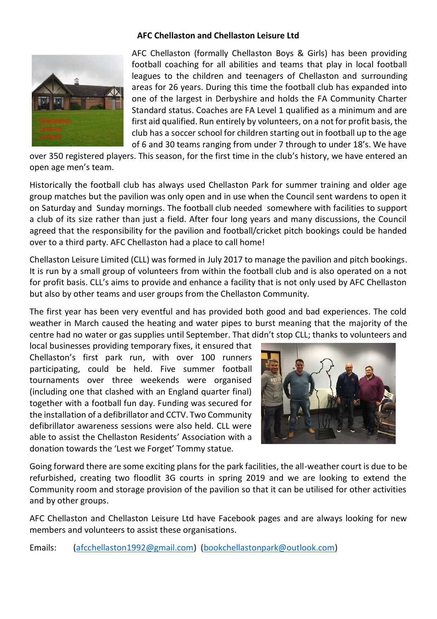## **AFC Chellaston and Chellaston Leisure Ltd**



AFC Chellaston (formally Chellaston Boys & Girls) has been providing football coaching for all abilities and teams that play in local football leagues to the children and teenagers of Chellaston and surrounding areas for 26 years. During this time the football club has expanded into one of the largest in Derbyshire and holds the FA Community Charter Standard status. Coaches are FA Level 1 qualified as a minimum and are first aid qualified. Run entirely by volunteers, on a not for profit basis, the club has a soccer school for children starting out in football up to the age of 6 and 30 teams ranging from under 7 through to under 18's. We have

over 350 registered players. This season, for the first time in the club's history, we have entered an open age men's team.

Historically the football club has always used Chellaston Park for summer training and older age group matches but the pavilion was only open and in use when the Council sent wardens to open it on Saturday and [Sunday](x-apple-data-detectors://1/) mornings. The football club needed somewhere with facilities to support a club of its size rather than just a field. After four long years and many discussions, the Council agreed that the responsibility for the pavilion and football/cricket pitch bookings could be handed over to a third party. AFC Chellaston had a place to call home!

Chellaston Leisure Limited (CLL) was formed in [July 2017](x-apple-data-detectors://3/) to manage the pavilion and pitch bookings. It is run by a small group of volunteers from within the football club and is also operated on a not for profit basis. CLL's aims to provide and enhance a facility that is not only used by AFC Chellaston but also by other teams and user groups from the Chellaston Community.

The first year has been very eventful and has provided both good and bad experiences. The cold weather in March caused the heating and water pipes to burst meaning that the majority of the centre had no water or gas supplies until September. That didn't stop CLL; thanks to volunteers and

local businesses providing temporary fixes, it ensured that Chellaston's first park run, with over 100 runners participating, could be held. Five summer football tournaments over three weekends were organised (including one that clashed with an England quarter final) together with a football fun day. Funding was secured for the installation of a defibrillator and CCTV. Two Community defibrillator awareness sessions were also held. CLL were able to assist the Chellaston Residents' Association with a donation towards the 'Lest we Forget' Tommy statue.



Going forward there are some exciting plans for the park facilities, the all-weather court is due to be refurbished, creating two floodlit 3G courts in spring 2019 and we are looking to extend the Community room and storage provision of the pavilion so that it can be utilised for other activities and by other groups.

AFC Chellaston and Chellaston Leisure Ltd have Facebook pages and are always looking for new members and volunteers to assist these organisations.

Emails: [\(afcchellaston1992@gmail.com\)](mailto:afcchellaston1992@gmail.com) [\(bookchellastonpark@outlook.com\)](mailto:bookchellastonpark@outlook.com)